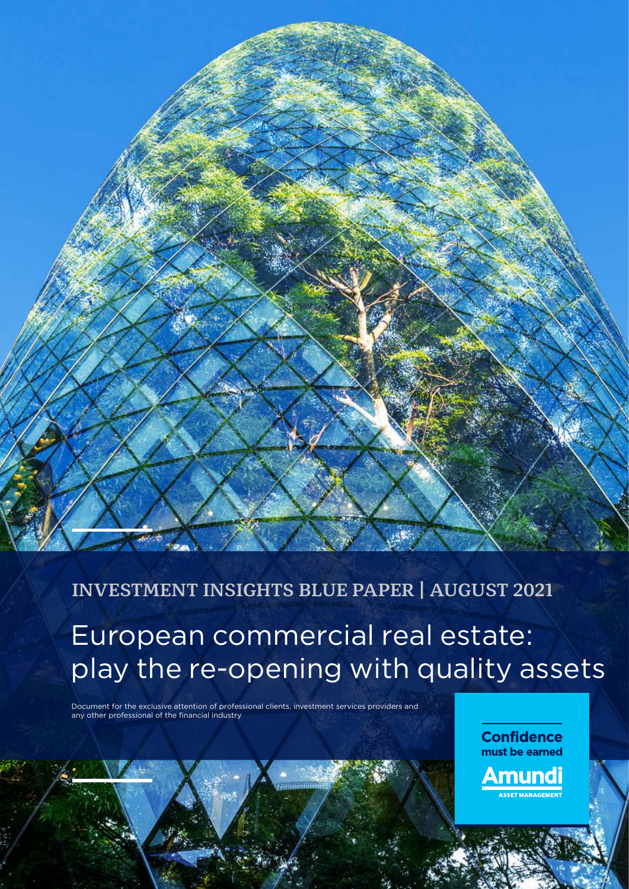

## **INVESTMENT INSIGHTS BLUE PAPER | AUGUST 2021**

European commercial real estate: play the re-opening with quality assets

Document for the exclusive attention of professional clients, investment services providers and any other professional of the financial industry

> **Confidence** must be earned Amundi

> > .<br>ET MANAGEMENT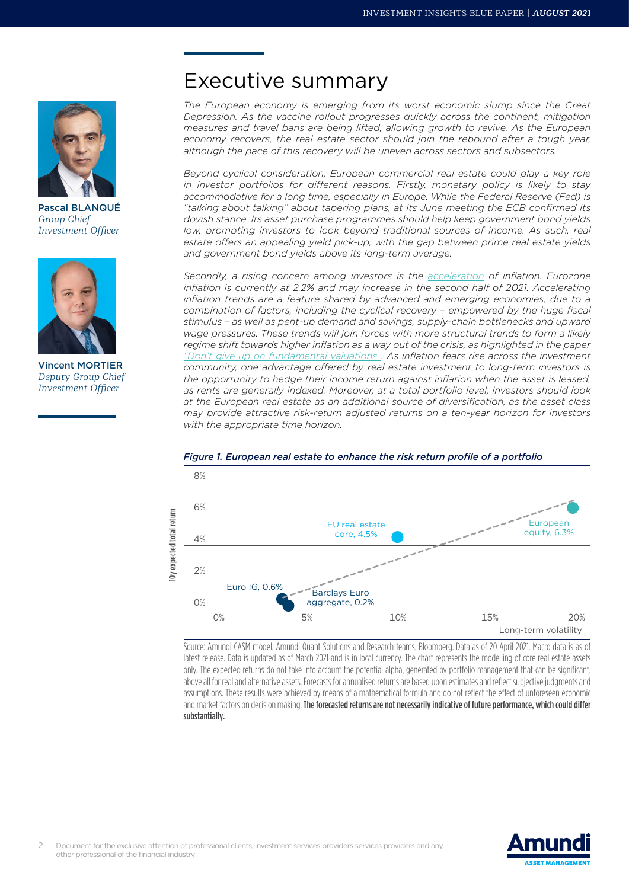

Pascal BLANQUÉ *Group Chief Investment Officer*



Vincent MORTIER *Deputy Group Chief Investment Officer*

## Executive summary

*The European economy is emerging from its worst economic slump since the Great Depression. As the vaccine rollout progresses quickly across the continent, mitigation measures and travel bans are being lifted, allowing growth to revive. As the European economy recovers, the real estate sector should join the rebound after a tough year, although the pace of this recovery will be uneven across sectors and subsectors.*

*Beyond cyclical consideration, European commercial real estate could play a key role in investor portfolios for different reasons. Firstly, monetary policy is likely to stay accommodative for a long time, especially in Europe. While the Federal Reserve (Fed) is "talking about talking" about tapering plans, at its June meeting the ECB confirmed its dovish stance. Its asset purchase programmes should help keep government bond yields low, prompting investors to look beyond traditional sources of income. As such, real estate offers an appealing yield pick-up, with the gap between prime real estate yields and government bond yields above its long-term average.*

*Secondly, a rising concern among investors is the [acceleration](https://research-center.amundi.com/article/inflation-moment-strategies-protect-portfolios-inflation-risk) of inflation. Eurozone*  inflation is currently at 2.2% and may increase in the second half of 2021. Accelerating *inflation trends are a feature shared by advanced and emerging economies, due to a combination of factors, including the cyclical recovery – empowered by the huge fiscal stimulus – as well as pent-up demand and savings, supply-chain bottlenecks and upward wage pressures. These trends will join forces with more structural trends to form a likely regime shift towards higher inflation as a way out of the crisis, as highlighted in the paper ["Don't give up on fundamental valuations".](https://research-center.amundi.com/article/do-not-give-fundamental-valuations) As inflation fears rise across the investment community, one advantage offered by real estate investment to long-term investors is the opportunity to hedge their income return against inflation when the asset is leased, as rents are generally indexed. Moreover, at a total portfolio level, investors should look at the European real estate as an additional source of diversification, as the asset class may provide attractive risk-return adjusted returns on a ten-year horizon for investors with the appropriate time horizon.*



### *Figure 1. European real estate to enhance the risk return profile of a portfolio*

Source: Amundi CASM model, Amundi Quant Solutions and Research teams, Bloomberg. Data as of 20 April 2021. Macro data is as of latest release. Data is updated as of March 2021 and is in local currency. The chart represents the modelling of core real estate assets only. The expected returns do not take into account the potential alpha, generated by portfolio management that can be significant, above all for real and alternative assets. Forecasts for annualised returns are based upon estimates and reflect subjective judgments and assumptions. These results were achieved by means of a mathematical formula and do not reflect the effect of unforeseen economic and market factors on decision making. The forecasted returns are not necessarily indicative of future performance, which could differ substantially.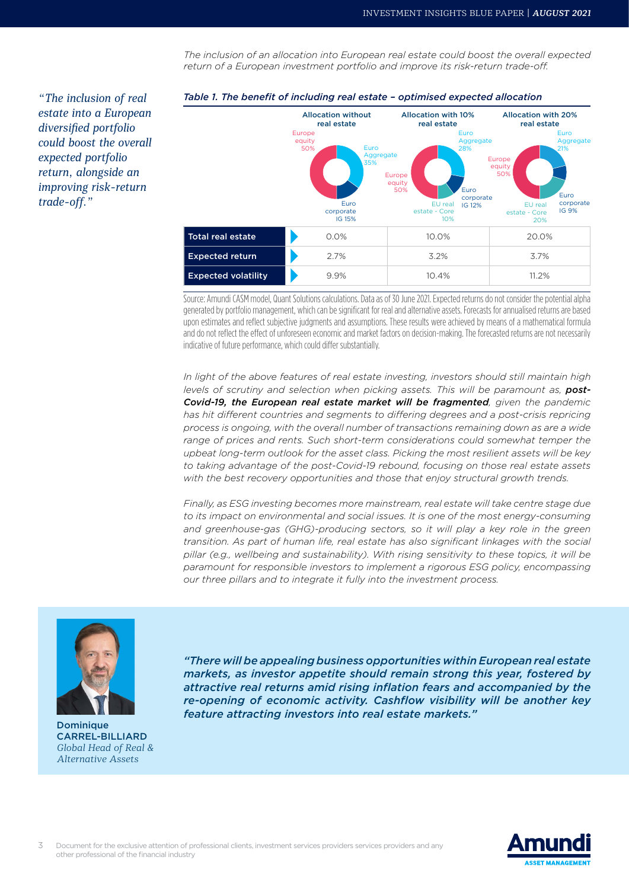*The inclusion of an allocation into European real estate could boost the overall expected return of a European investment portfolio and improve its risk-return trade-off.*





*Table 1. The benefit of including real estate – optimised expected allocation*

Source: Amundi CASM model, Quant Solutions calculations. Data as of 30 June 2021. Expected returns do not consider the potential alpha generated by portfolio management, which can be significant for real and alternative assets. Forecasts for annualised returns are based upon estimates and reflect subjective judgments and assumptions. These results were achieved by means of a mathematical formula and do not reflect the effect of unforeseen economic and market factors on decision-making. The forecasted returns are not necessarily indicative of future performance, which could differ substantially.

*In light of the above features of real estate investing, investors should still maintain high*  levels of scrutiny and selection when picking assets. This will be paramount as, **post-***Covid-19, the European real estate market will be fragmented, given the pandemic*  has hit different countries and segments to differing degrees and a post-crisis repricing *process is ongoing, with the overall number of transactions remaining down as are a wide range of prices and rents. Such short-term considerations could somewhat temper the upbeat long-term outlook for the asset class. Picking the most resilient assets will be key to taking advantage of the post-Covid-19 rebound, focusing on those real estate assets with the best recovery opportunities and those that enjoy structural growth trends.*

*Finally, as ESG investing becomes more mainstream, real estate will take centre stage due to its impact on environmental and social issues. It is one of the most energy-consuming*  and greenhouse-gas (GHG)-producing sectors, so it will play a key role in the green *transition. As part of human life, real estate has also significant linkages with the social pillar (e.g., wellbeing and sustainability). With rising sensitivity to these topics, it will be paramount for responsible investors to implement a rigorous ESG policy, encompassing our three pillars and to integrate it fully into the investment process.*



Dominique CARREL-BILLIARD *Global Head of Real & Alternative Assets*

*"There will be appealing business opportunities within European real estate markets, as investor appetite should remain strong this year, fostered by attractive real returns amid rising inflation fears and accompanied by the re-opening of economic activity. Cashflow visibility will be another key feature attracting investors into real estate markets."*

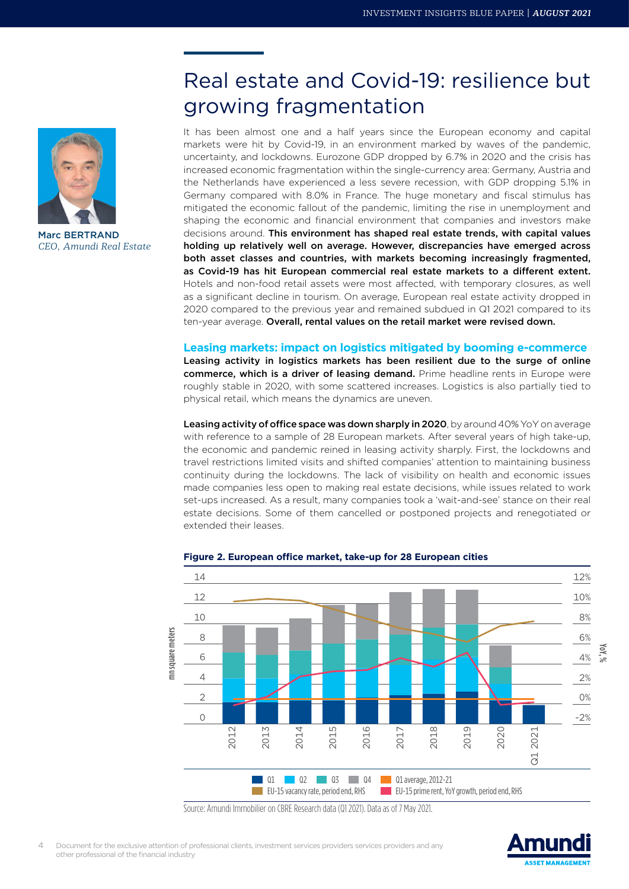

Marc BERTRAND *CEO, Amundi Real Estate*

## Real estate and Covid-19: resilience but growing fragmentation

It has been almost one and a half years since the European economy and capital markets were hit by Covid-19, in an environment marked by waves of the pandemic, uncertainty, and lockdowns. Eurozone GDP dropped by 6.7% in 2020 and the crisis has increased economic fragmentation within the single-currency area: Germany, Austria and the Netherlands have experienced a less severe recession, with GDP dropping 5.1% in Germany compared with 8.0% in France. The huge monetary and fiscal stimulus has mitigated the economic fallout of the pandemic, limiting the rise in unemployment and shaping the economic and financial environment that companies and investors make decisions around. This environment has shaped real estate trends, with capital values holding up relatively well on average. However, discrepancies have emerged across both asset classes and countries, with markets becoming increasingly fragmented, as Covid-19 has hit European commercial real estate markets to a different extent. Hotels and non-food retail assets were most affected, with temporary closures, as well as a significant decline in tourism. On average, European real estate activity dropped in 2020 compared to the previous year and remained subdued in Q1 2021 compared to its ten-year average. Overall, rental values on the retail market were revised down.

### **Leasing markets: impact on logistics mitigated by booming e-commerce**

Leasing activity in logistics markets has been resilient due to the surge of online commerce, which is a driver of leasing demand. Prime headline rents in Europe were roughly stable in 2020, with some scattered increases. Logistics is also partially tied to physical retail, which means the dynamics are uneven.

Leasing activity of office space was down sharply in 2020, by around 40% YoY on average with reference to a sample of 28 European markets. After several years of high take-up, the economic and pandemic reined in leasing activity sharply. First, the lockdowns and travel restrictions limited visits and shifted companies' attention to maintaining business continuity during the lockdowns. The lack of visibility on health and economic issues made companies less open to making real estate decisions, while issues related to work set-ups increased. As a result, many companies took a 'wait-and-see' stance on their real estate decisions. Some of them cancelled or postponed projects and renegotiated or extended their leases.



#### **Figure 2. European office market, take-up for 28 European cities**

Source: Amundi Immobilier on CBRE Research data (Q1 2021). Data as of 7 May 2021.

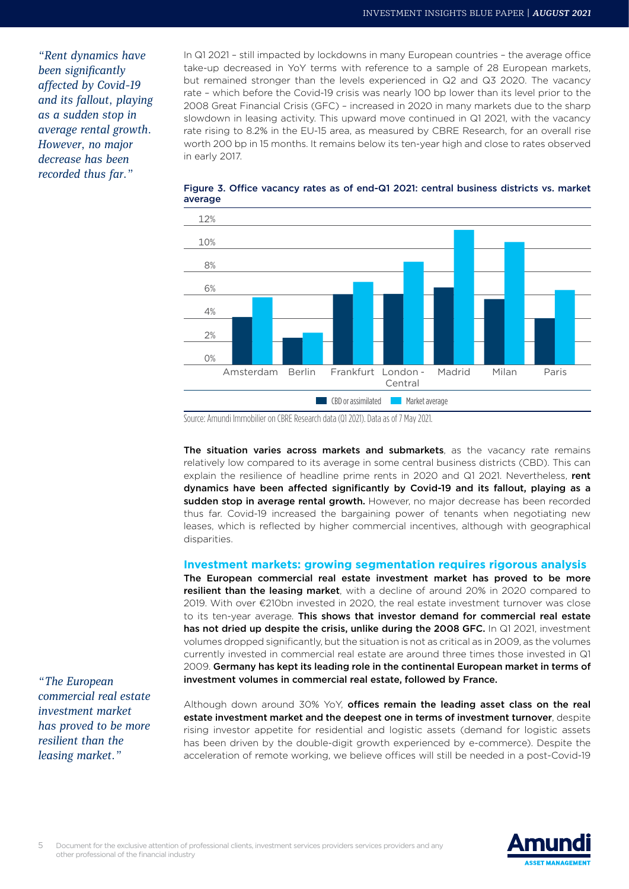*"Rent dynamics have been significantly affected by Covid-19 and its fallout, playing as a sudden stop in average rental growth. However, no major decrease has been recorded thus far."*

In Q1 2021 – still impacted by lockdowns in many European countries – the average office take-up decreased in YoY terms with reference to a sample of 28 European markets, but remained stronger than the levels experienced in Q2 and Q3 2020. The vacancy rate – which before the Covid-19 crisis was nearly 100 bp lower than its level prior to the 2008 Great Financial Crisis (GFC) – increased in 2020 in many markets due to the sharp slowdown in leasing activity. This upward move continued in Q1 2021, with the vacancy rate rising to 8.2% in the EU-15 area, as measured by CBRE Research, for an overall rise worth 200 bp in 15 months. It remains below its ten-year high and close to rates observed in early 2017.



Figure 3. Office vacancy rates as of end-Q1 2021: central business districts vs. market average

Source: Amundi Immobilier on CBRE Research data (Q1 2021). Data as of 7 May 2021.

The situation varies across markets and submarkets, as the vacancy rate remains relatively low compared to its average in some central business districts (CBD). This can explain the resilience of headline prime rents in 2020 and Q1 2021. Nevertheless, rent dynamics have been affected significantly by Covid-19 and its fallout, playing as a sudden stop in average rental growth. However, no major decrease has been recorded thus far. Covid-19 increased the bargaining power of tenants when negotiating new leases, which is reflected by higher commercial incentives, although with geographical disparities.

#### **Investment markets: growing segmentation requires rigorous analysis**

The European commercial real estate investment market has proved to be more resilient than the leasing market, with a decline of around 20% in 2020 compared to 2019. With over €210bn invested in 2020, the real estate investment turnover was close to its ten-year average. This shows that investor demand for commercial real estate has not dried up despite the crisis, unlike during the 2008 GFC. In Q1 2021, investment volumes dropped significantly, but the situation is not as critical as in 2009, as the volumes currently invested in commercial real estate are around three times those invested in Q1 2009. Germany has kept its leading role in the continental European market in terms of investment volumes in commercial real estate, followed by France.

Although down around 30% YoY, offices remain the leading asset class on the real estate investment market and the deepest one in terms of investment turnover, despite rising investor appetite for residential and logistic assets (demand for logistic assets has been driven by the double-digit growth experienced by e-commerce). Despite the acceleration of remote working, we believe offices will still be needed in a post-Covid-19

*"The European commercial real estate investment market has proved to be more resilient than the leasing market."*

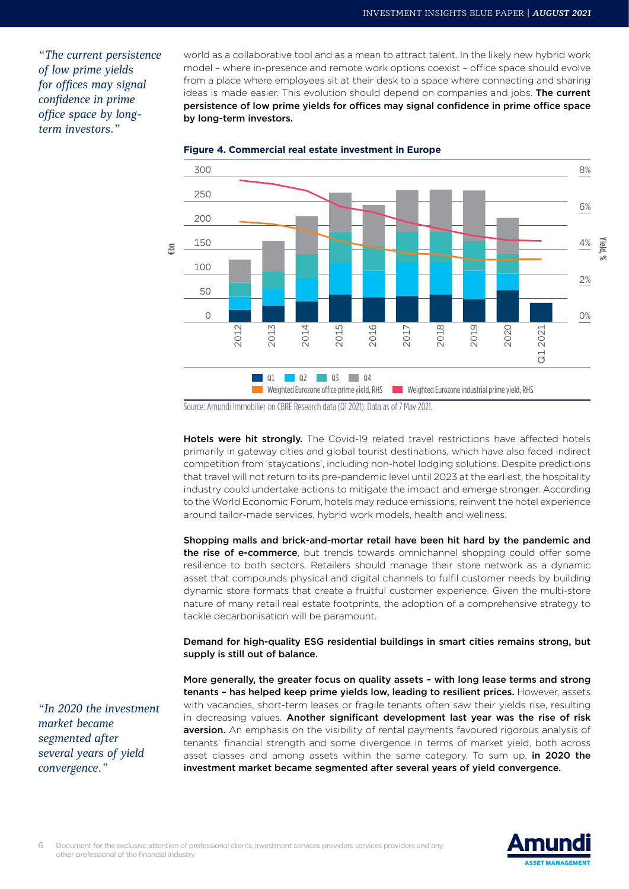*"The current persistence of low prime yields for offices may signal confidence in prime office space by longterm investors."*

world as a collaborative tool and as a mean to attract talent. In the likely new hybrid work model – where in-presence and remote work options coexist – office space should evolve from a place where employees sit at their desk to a space where connecting and sharing ideas is made easier. This evolution should depend on companies and jobs. The current persistence of low prime yields for offices may signal confidence in prime office space by long-term investors.





Source: Amundi Immobilier on CBRE Research data (Q1 2021). Data as of 7 May 2021.

Hotels were hit strongly. The Covid-19 related travel restrictions have affected hotels primarily in gateway cities and global tourist destinations, which have also faced indirect competition from 'staycations', including non-hotel lodging solutions. Despite predictions that travel will not return to its pre-pandemic level until 2023 at the earliest, the hospitality industry could undertake actions to mitigate the impact and emerge stronger. According to the World Economic Forum, hotels may reduce emissions, reinvent the hotel experience around tailor-made services, hybrid work models, health and wellness.

Shopping malls and brick-and-mortar retail have been hit hard by the pandemic and the rise of e-commerce, but trends towards omnichannel shopping could offer some resilience to both sectors. Retailers should manage their store network as a dynamic asset that compounds physical and digital channels to fulfil customer needs by building dynamic store formats that create a fruitful customer experience. Given the multi-store nature of many retail real estate footprints, the adoption of a comprehensive strategy to tackle decarbonisation will be paramount.

Demand for high-quality ESG residential buildings in smart cities remains strong, but supply is still out of balance.

More generally, the greater focus on quality assets – with long lease terms and strong tenants - has helped keep prime yields low, leading to resilient prices. However, assets with vacancies, short-term leases or fragile tenants often saw their yields rise, resulting in decreasing values. Another significant development last year was the rise of risk aversion. An emphasis on the visibility of rental payments favoured rigorous analysis of tenants' financial strength and some divergence in terms of market yield, both across asset classes and among assets within the same category. To sum up, in 2020 the investment market became segmented after several years of yield convergence.

*"In 2020 the investment market became segmented after several years of yield convergence."*

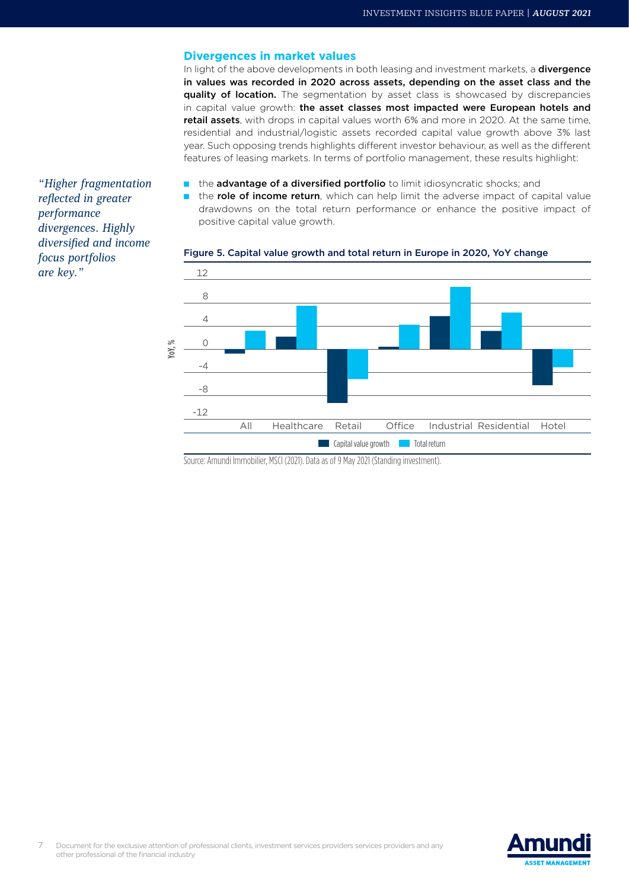#### **Divergences in market values**

In light of the above developments in both leasing and investment markets, a **divergence** in values was recorded in 2020 across assets, depending on the asset class and the **quality of location.** The segmentation by asset class is showcased by discrepancies in capital value growth: the asset classes most impacted were European hotels and retail assets, with drops in capital values worth 6% and more in 2020. At the same time, residential and industrial/logistic assets recorded capital value growth above 3% last year. Such opposing trends highlights different investor behaviour, as well as the different features of leasing markets. In terms of portfolio management, these results highlight:

- the advantage of a diversified portfolio to limit idiosyncratic shocks; and
- the role of income return, which can help limit the adverse impact of capital value drawdowns on the total return performance or enhance the positive impact of positive capital value growth.



#### Figure 5. Capital value growth and total return in Europe in 2020, YoY change

Source: Amundi Immobilier, MSCI (2021). Data as of 9 May 2021 (Standing investment).

*"Higher fragmentation reflected in greater performance divergences. Highly diversified and income focus portfolios are key."*

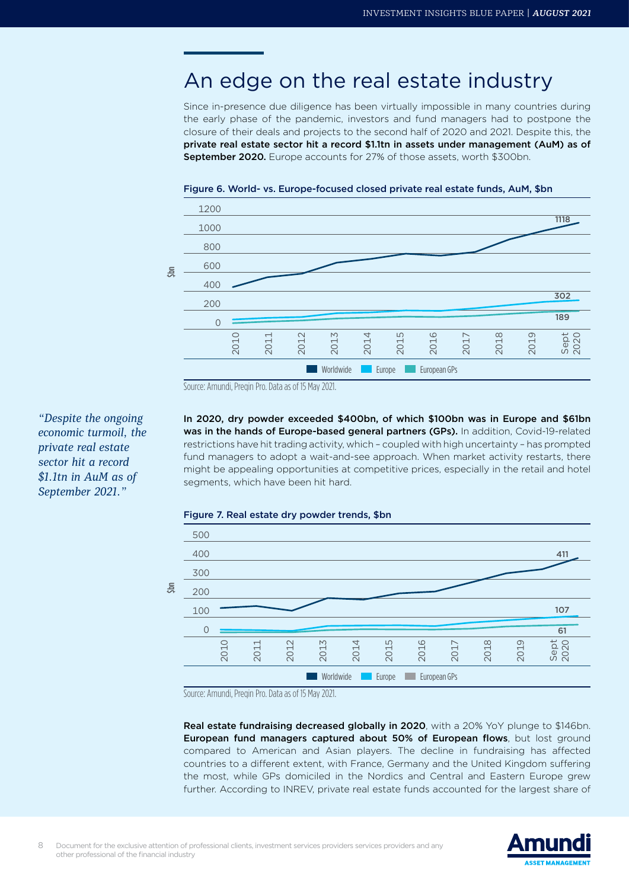## An edge on the real estate industry

Since in-presence due diligence has been virtually impossible in many countries during the early phase of the pandemic, investors and fund managers had to postpone the closure of their deals and projects to the second half of 2020 and 2021. Despite this, the private real estate sector hit a record \$1.1tn in assets under management (AuM) as of September 2020. Europe accounts for 27% of those assets, worth \$300bn.





Source: Amundi, Preqin Pro. Data as of 15 May 2021.

*"Despite the ongoing economic turmoil, the private real estate sector hit a record \$1.1tn in AuM as of September 2021."*

In 2020, dry powder exceeded \$400bn, of which \$100bn was in Europe and \$61bn was in the hands of Europe-based general partners (GPs). In addition, Covid-19-related restrictions have hit trading activity, which – coupled with high uncertainty – has prompted fund managers to adopt a wait-and-see approach. When market activity restarts, there might be appealing opportunities at competitive prices, especially in the retail and hotel segments, which have been hit hard.

#### Figure 7. Real estate dry powder trends, \$bn



Source: Amundi, Preqin Pro. Data as of 15 May 2021.

Real estate fundraising decreased globally in 2020, with a 20% YoY plunge to \$146bn. European fund managers captured about 50% of European flows, but lost ground compared to American and Asian players. The decline in fundraising has affected countries to a different extent, with France, Germany and the United Kingdom suffering the most, while GPs domiciled in the Nordics and Central and Eastern Europe grew further. According to INREV, private real estate funds accounted for the largest share of

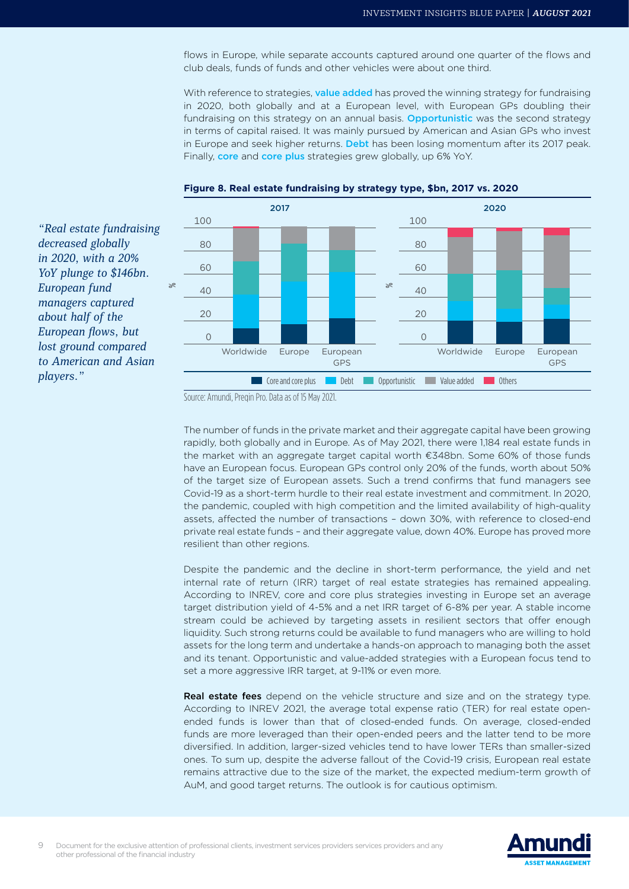flows in Europe, while separate accounts captured around one quarter of the flows and club deals, funds of funds and other vehicles were about one third.

With reference to strategies, value added has proved the winning strategy for fundraising in 2020, both globally and at a European level, with European GPs doubling their fundraising on this strategy on an annual basis. **Opportunistic** was the second strategy in terms of capital raised. It was mainly pursued by American and Asian GPs who invest in Europe and seek higher returns. Debt has been losing momentum after its 2017 peak. Finally, core and core plus strategies grew globally, up 6% YoY.





*"Real estate fundraising decreased globally in 2020, with a 20% YoY plunge to \$146bn. European fund managers captured about half of the European flows, but lost ground compared to American and Asian players."*

The number of funds in the private market and their aggregate capital have been growing rapidly, both globally and in Europe. As of May 2021, there were 1,184 real estate funds in the market with an aggregate target capital worth €348bn. Some 60% of those funds have an European focus. European GPs control only 20% of the funds, worth about 50% of the target size of European assets. Such a trend confirms that fund managers see Covid-19 as a short-term hurdle to their real estate investment and commitment. In 2020, the pandemic, coupled with high competition and the limited availability of high-quality assets, affected the number of transactions – down 30%, with reference to closed-end private real estate funds – and their aggregate value, down 40%. Europe has proved more resilient than other regions.

Despite the pandemic and the decline in short-term performance, the yield and net internal rate of return (IRR) target of real estate strategies has remained appealing. According to INREV, core and core plus strategies investing in Europe set an average target distribution yield of 4-5% and a net IRR target of 6-8% per year. A stable income stream could be achieved by targeting assets in resilient sectors that offer enough liquidity. Such strong returns could be available to fund managers who are willing to hold assets for the long term and undertake a hands-on approach to managing both the asset and its tenant. Opportunistic and value-added strategies with a European focus tend to set a more aggressive IRR target, at 9-11% or even more.

**Real estate fees** depend on the vehicle structure and size and on the strategy type. According to INREV 2021, the average total expense ratio (TER) for real estate openended funds is lower than that of closed-ended funds. On average, closed-ended funds are more leveraged than their open-ended peers and the latter tend to be more diversified. In addition, larger-sized vehicles tend to have lower TERs than smaller-sized ones. To sum up, despite the adverse fallout of the Covid-19 crisis, European real estate remains attractive due to the size of the market, the expected medium-term growth of AuM, and good target returns. The outlook is for cautious optimism.

Source: Amundi, Pregin Pro. Data as of 15 May 2021.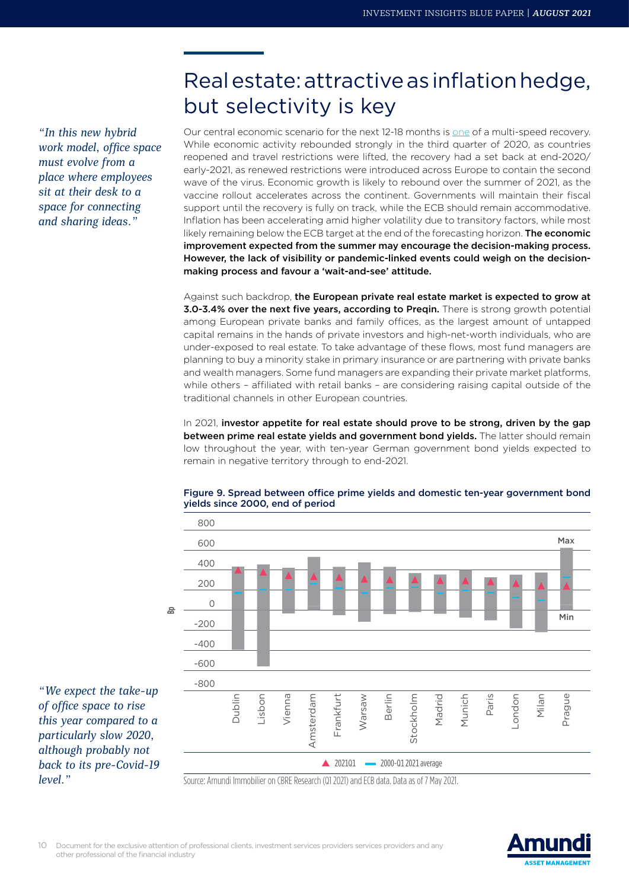*"In this new hybrid work model, office space must evolve from a place where employees sit at their desk to a space for connecting and sharing ideas."*

# Real estate: attractive as inflation hedge, but selectivity is key

Our central economic scenario for the next 12-18 months is [one](https://research-center.amundi.com/article/h2-2021-investment-outlook-inflation-blows-markets-and-investors-need-act) of a multi-speed recovery. While economic activity rebounded strongly in the third quarter of 2020, as countries reopened and travel restrictions were lifted, the recovery had a set back at end-2020/ early-2021, as renewed restrictions were introduced across Europe to contain the second wave of the virus. Economic growth is likely to rebound over the summer of 2021, as the vaccine rollout accelerates across the continent. Governments will maintain their fiscal support until the recovery is fully on track, while the ECB should remain accommodative. Inflation has been accelerating amid higher volatility due to transitory factors, while most likely remaining below the ECB target at the end of the forecasting horizon. The economic improvement expected from the summer may encourage the decision-making process. However, the lack of visibility or pandemic-linked events could weigh on the decisionmaking process and favour a 'wait-and-see' attitude.

Against such backdrop, the European private real estate market is expected to grow at 3.0-3.4% over the next five years, according to Preqin. There is strong growth potential among European private banks and family offices, as the largest amount of untapped capital remains in the hands of private investors and high-net-worth individuals, who are under-exposed to real estate. To take advantage of these flows, most fund managers are planning to buy a minority stake in primary insurance or are partnering with private banks and wealth managers. Some fund managers are expanding their private market platforms, while others – affiliated with retail banks – are considering raising capital outside of the traditional channels in other European countries.

In 2021, investor appetite for real estate should prove to be strong, driven by the gap between prime real estate yields and government bond yields. The latter should remain low throughout the year, with ten-year German government bond yields expected to remain in negative territory through to end-2021.



#### Figure 9. Spread between office prime yields and domestic ten-year government bond yields since 2000, end of period

Source: Amundi Immobilier on CBRE Research (Q1 2021) and ECB data. Data as of 7 May 2021.

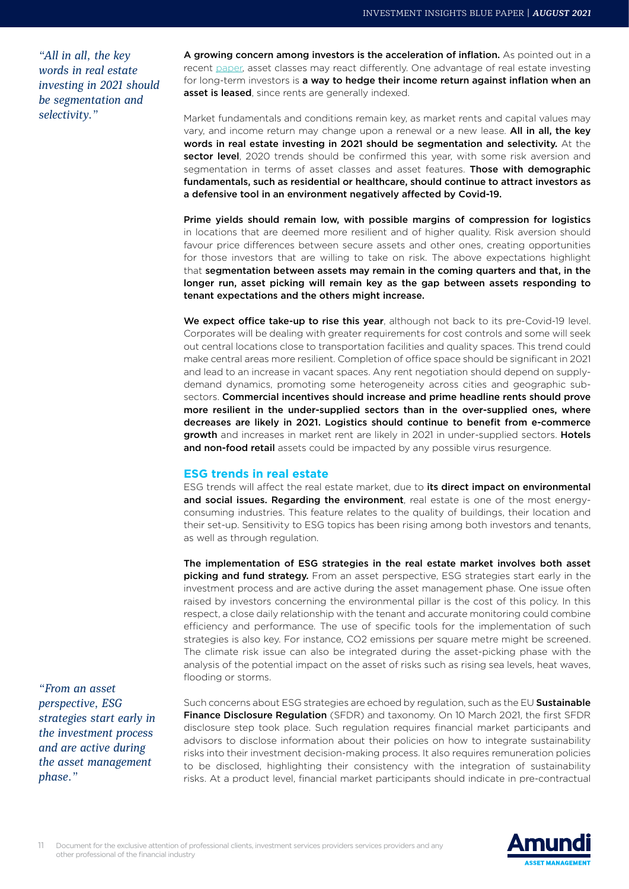*"All in all, the key words in real estate investing in 2021 should be segmentation and selectivity."*

A growing concern among investors is the acceleration of inflation. As pointed out in a recent [paper](https://research-center.amundi.com/article/shifts-narratives-2-inflation-something-deep-awakens), asset classes may react differently. One advantage of real estate investing for long-term investors is a way to hedge their income return against inflation when an asset is leased, since rents are generally indexed.

Market fundamentals and conditions remain key, as market rents and capital values may vary, and income return may change upon a renewal or a new lease. All in all, the key words in real estate investing in 2021 should be segmentation and selectivity. At the sector level, 2020 trends should be confirmed this year, with some risk aversion and segmentation in terms of asset classes and asset features. Those with demographic fundamentals, such as residential or healthcare, should continue to attract investors as a defensive tool in an environment negatively affected by Covid-19.

Prime yields should remain low, with possible margins of compression for logistics in locations that are deemed more resilient and of higher quality. Risk aversion should favour price differences between secure assets and other ones, creating opportunities for those investors that are willing to take on risk. The above expectations highlight that segmentation between assets may remain in the coming quarters and that, in the longer run, asset picking will remain key as the gap between assets responding to tenant expectations and the others might increase.

We expect office take-up to rise this year, although not back to its pre-Covid-19 level. Corporates will be dealing with greater requirements for cost controls and some will seek out central locations close to transportation facilities and quality spaces. This trend could make central areas more resilient. Completion of office space should be significant in 2021 and lead to an increase in vacant spaces. Any rent negotiation should depend on supplydemand dynamics, promoting some heterogeneity across cities and geographic subsectors. Commercial incentives should increase and prime headline rents should prove more resilient in the under-supplied sectors than in the over-supplied ones, where decreases are likely in 2021. Logistics should continue to benefit from e-commerce growth and increases in market rent are likely in 2021 in under-supplied sectors. Hotels and non-food retail assets could be impacted by any possible virus resurgence.

### **ESG trends in real estate**

ESG trends will affect the real estate market, due to its direct impact on environmental and social issues. Regarding the environment, real estate is one of the most energyconsuming industries. This feature relates to the quality of buildings, their location and their set-up. Sensitivity to ESG topics has been rising among both investors and tenants, as well as through regulation.

The implementation of ESG strategies in the real estate market involves both asset picking and fund strategy. From an asset perspective, ESG strategies start early in the investment process and are active during the asset management phase. One issue often raised by investors concerning the environmental pillar is the cost of this policy. In this respect, a close daily relationship with the tenant and accurate monitoring could combine efficiency and performance. The use of specific tools for the implementation of such strategies is also key. For instance, CO2 emissions per square metre might be screened. The climate risk issue can also be integrated during the asset-picking phase with the analysis of the potential impact on the asset of risks such as rising sea levels, heat waves, flooding or storms.

*"From an asset perspective, ESG strategies start early in the investment process and are active during the asset management phase."*

Such concerns about ESG strategies are echoed by regulation, such as the EU Sustainable Finance Disclosure Regulation (SFDR) and taxonomy. On 10 March 2021, the first SFDR disclosure step took place. Such regulation requires financial market participants and advisors to disclose information about their policies on how to integrate sustainability risks into their investment decision-making process. It also requires remuneration policies to be disclosed, highlighting their consistency with the integration of sustainability risks. At a product level, financial market participants should indicate in pre-contractual

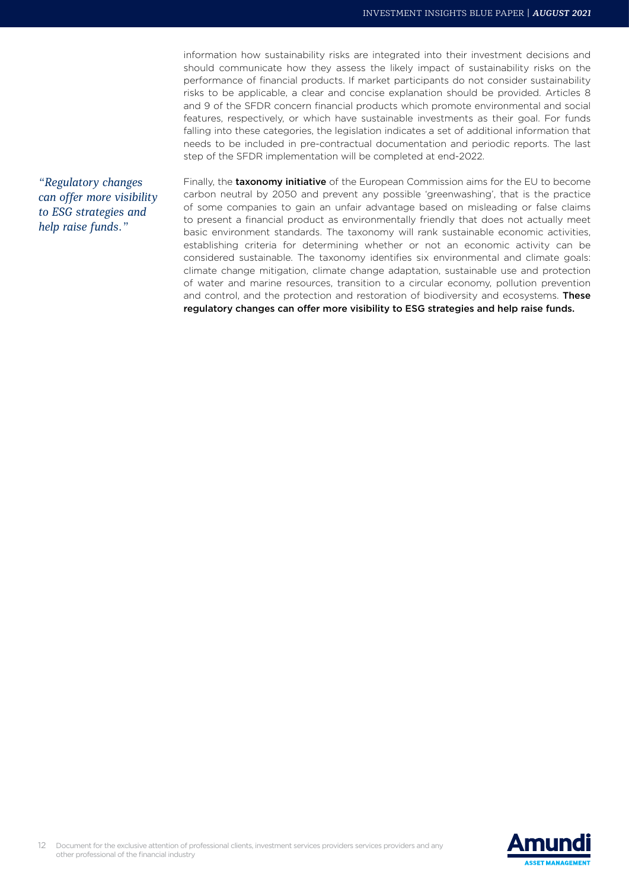information how sustainability risks are integrated into their investment decisions and should communicate how they assess the likely impact of sustainability risks on the performance of financial products. If market participants do not consider sustainability risks to be applicable, a clear and concise explanation should be provided. Articles 8 and 9 of the SFDR concern financial products which promote environmental and social features, respectively, or which have sustainable investments as their goal. For funds falling into these categories, the legislation indicates a set of additional information that needs to be included in pre-contractual documentation and periodic reports. The last step of the SFDR implementation will be completed at end-2022.

*"Regulatory changes can offer more visibility to ESG strategies and help raise funds."*

Finally, the taxonomy initiative of the European Commission aims for the EU to become carbon neutral by 2050 and prevent any possible 'greenwashing', that is the practice of some companies to gain an unfair advantage based on misleading or false claims to present a financial product as environmentally friendly that does not actually meet basic environment standards. The taxonomy will rank sustainable economic activities, establishing criteria for determining whether or not an economic activity can be considered sustainable. The taxonomy identifies six environmental and climate goals: climate change mitigation, climate change adaptation, sustainable use and protection of water and marine resources, transition to a circular economy, pollution prevention and control, and the protection and restoration of biodiversity and ecosystems. **These** regulatory changes can offer more visibility to ESG strategies and help raise funds.

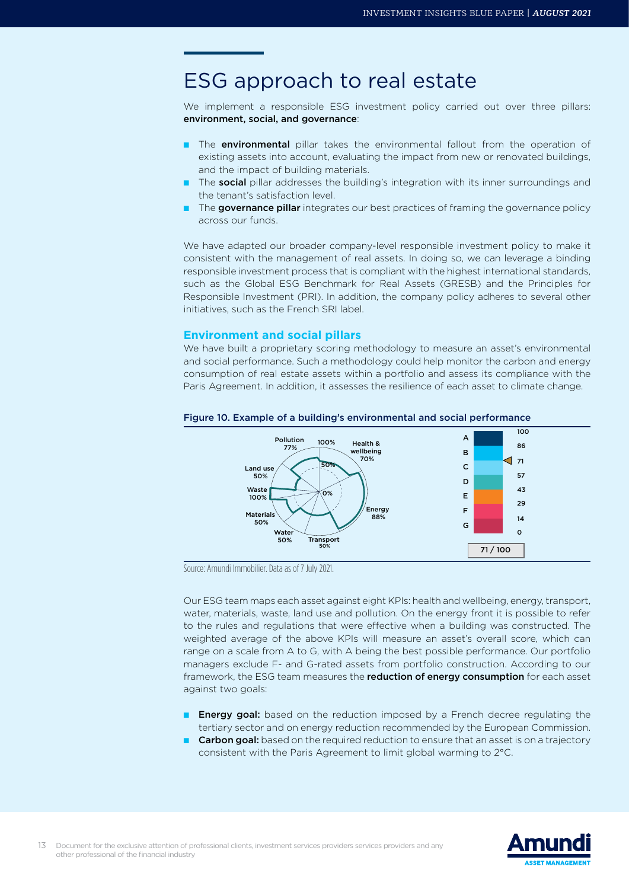## ESG approach to real estate

We implement a responsible ESG investment policy carried out over three pillars: environment, social, and governance:

- The **environmental** pillar takes the environmental fallout from the operation of existing assets into account, evaluating the impact from new or renovated buildings, and the impact of building materials.
- The social pillar addresses the building's integration with its inner surroundings and the tenant's satisfaction level.
- The governance pillar integrates our best practices of framing the governance policy across our funds.

We have adapted our broader company-level responsible investment policy to make it consistent with the management of real assets. In doing so, we can leverage a binding responsible investment process that is compliant with the highest international standards, such as the Global ESG Benchmark for Real Assets (GRESB) and the Principles for Responsible Investment (PRI). In addition, the company policy adheres to several other initiatives, such as the French SRI label.

### **Environment and social pillars**

We have built a proprietary scoring methodology to measure an asset's environmental and social performance. Such a methodology could help monitor the carbon and energy consumption of real estate assets within a portfolio and assess its compliance with the Paris Agreement. In addition, it assesses the resilience of each asset to climate change.



### Figure 10. Example of a building's environmental and social performance

Source: Amundi Immobilier. Data as of 7 July 2021.

Our ESG team maps each asset against eight KPIs: health and wellbeing, energy, transport, water, materials, waste, land use and pollution. On the energy front it is possible to refer to the rules and regulations that were effective when a building was constructed. The weighted average of the above KPIs will measure an asset's overall score, which can range on a scale from A to G, with A being the best possible performance. Our portfolio managers exclude F- and G-rated assets from portfolio construction. According to our framework, the ESG team measures the **reduction of energy consumption** for each asset against two goals:

- Energy goal: based on the reduction imposed by a French decree regulating the tertiary sector and on energy reduction recommended by the European Commission.
- **Carbon goal:** based on the required reduction to ensure that an asset is on a trajectory consistent with the Paris Agreement to limit global warming to 2°C.

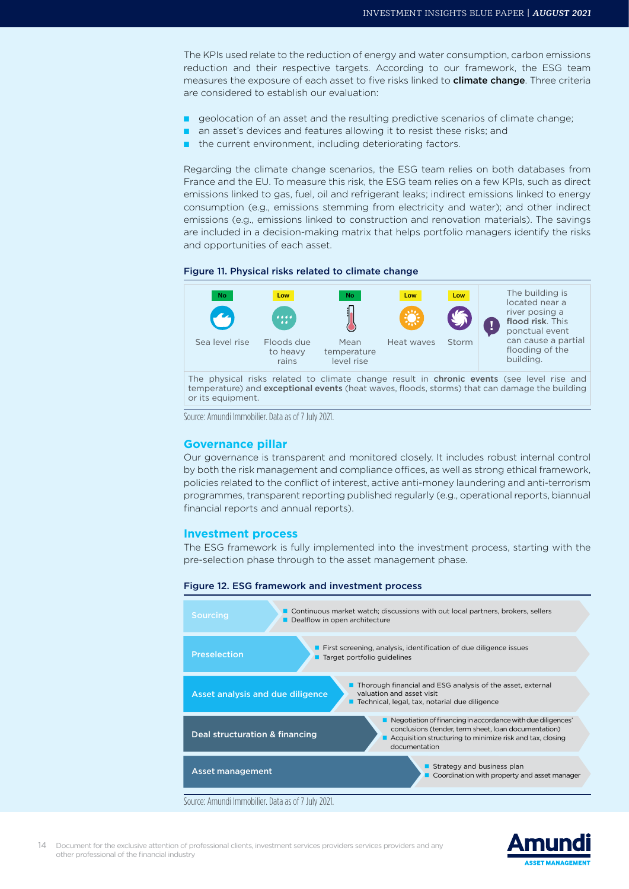The KPIs used relate to the reduction of energy and water consumption, carbon emissions reduction and their respective targets. According to our framework, the ESG team measures the exposure of each asset to five risks linked to **climate change**. Three criteria are considered to establish our evaluation:

- geolocation of an asset and the resulting predictive scenarios of climate change;
- an asset's devices and features allowing it to resist these risks; and
- the current environment, including deteriorating factors.

Regarding the climate change scenarios, the ESG team relies on both databases from France and the EU. To measure this risk, the ESG team relies on a few KPIs, such as direct emissions linked to gas, fuel, oil and refrigerant leaks; indirect emissions linked to energy consumption (e.g., emissions stemming from electricity and water); and other indirect emissions (e.g., emissions linked to construction and renovation materials). The savings are included in a decision-making matrix that helps portfolio managers identify the risks and opportunities of each asset.

#### Figure 11. Physical risks related to climate change



temperature) and exceptional events (heat waves, floods, storms) that can damage the building or its equipment.

Source: Amundi Immobilier. Data as of 7 July 2021.

#### **Governance pillar**

Our governance is transparent and monitored closely. It includes robust internal control by both the risk management and compliance offices, as well as strong ethical framework, policies related to the conflict of interest, active anti-money laundering and anti-terrorism programmes, transparent reporting published regularly (e.g., operational reports, biannual financial reports and annual reports).

#### **Investment process**

The ESG framework is fully implemented into the investment process, starting with the pre-selection phase through to the asset management phase.

#### Figure 12. ESG framework and investment process



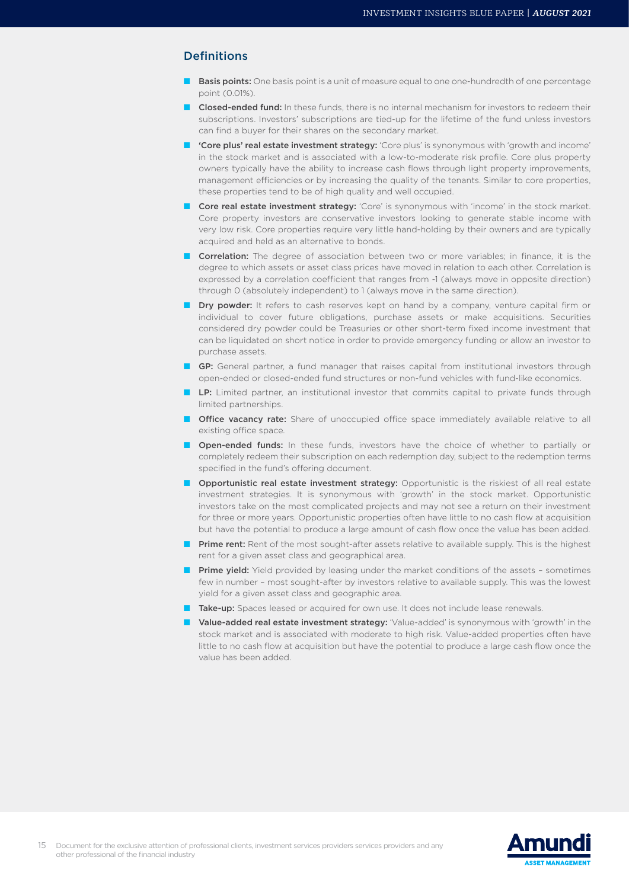### Definitions

- **Basis points:** One basis point is a unit of measure equal to one one-hundredth of one percentage point (0.01%).
- Closed-ended fund: In these funds, there is no internal mechanism for investors to redeem their subscriptions. Investors' subscriptions are tied-up for the lifetime of the fund unless investors can find a buyer for their shares on the secondary market.
- 'Core plus' real estate investment strategy: 'Core plus' is synonymous with 'growth and income' in the stock market and is associated with a low-to-moderate risk profile. Core plus property owners typically have the ability to increase cash flows through light property improvements, management efficiencies or by increasing the quality of the tenants. Similar to core properties, these properties tend to be of high quality and well occupied.
- Core real estate investment strategy: 'Core' is synonymous with 'income' in the stock market. Core property investors are conservative investors looking to generate stable income with very low risk. Core properties require very little hand-holding by their owners and are typically acquired and held as an alternative to bonds.
- Correlation: The degree of association between two or more variables; in finance, it is the degree to which assets or asset class prices have moved in relation to each other. Correlation is expressed by a correlation coefficient that ranges from -1 (always move in opposite direction) through 0 (absolutely independent) to 1 (always move in the same direction).
- Dry powder: It refers to cash reserves kept on hand by a company, venture capital firm or individual to cover future obligations, purchase assets or make acquisitions. Securities considered dry powder could be Treasuries or other short-term fixed income investment that can be liquidated on short notice in order to provide emergency funding or allow an investor to purchase assets.
- **GP:** General partner, a fund manager that raises capital from institutional investors through open-ended or closed-ended fund structures or non-fund vehicles with fund-like economics.
- **ID:** Limited partner, an institutional investor that commits capital to private funds through limited partnerships.
- Office vacancy rate: Share of unoccupied office space immediately available relative to all existing office space.
- **Open-ended funds:** In these funds, investors have the choice of whether to partially or completely redeem their subscription on each redemption day, subject to the redemption terms specified in the fund's offering document.
- Opportunistic real estate investment strategy: Opportunistic is the riskiest of all real estate investment strategies. It is synonymous with 'growth' in the stock market. Opportunistic investors take on the most complicated projects and may not see a return on their investment for three or more years. Opportunistic properties often have little to no cash flow at acquisition but have the potential to produce a large amount of cash flow once the value has been added.
- Prime rent: Rent of the most sought-after assets relative to available supply. This is the highest rent for a given asset class and geographical area.
- **Prime yield:** Yield provided by leasing under the market conditions of the assets sometimes few in number – most sought-after by investors relative to available supply. This was the lowest yield for a given asset class and geographic area.
- **Take-up:** Spaces leased or acquired for own use. It does not include lease renewals.
- Value-added real estate investment strategy: 'Value-added' is synonymous with 'growth' in the stock market and is associated with moderate to high risk. Value-added properties often have little to no cash flow at acquisition but have the potential to produce a large cash flow once the value has been added.

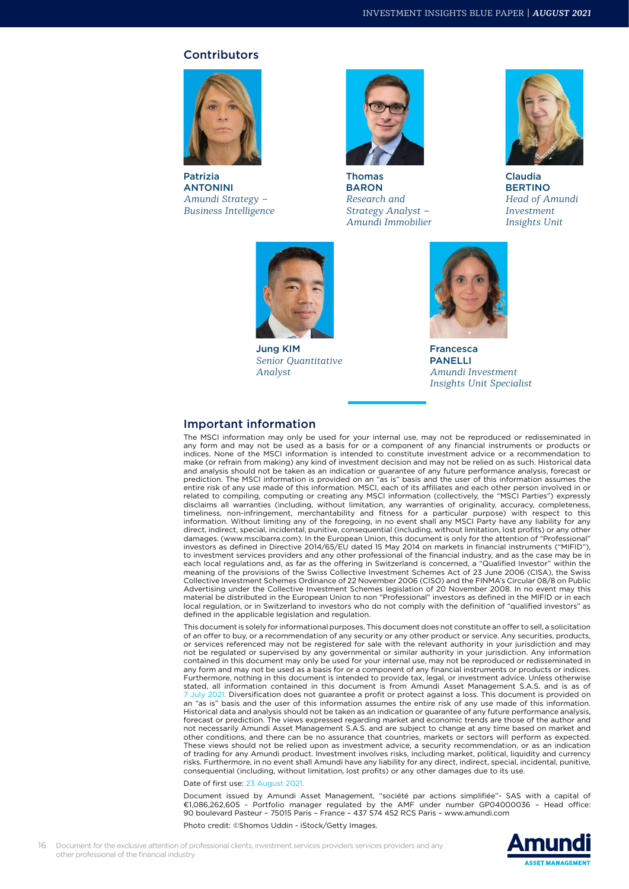#### **Contributors**



Patrizia ANTONINI *Amundi Strategy – Business Intelligence* 



Thomas BARON *Research and Strategy Analyst – Amundi Immobilier*



Claudia **BERTINO** *Head of Amundi Investment Insights Unit*



Jung KIM *Senior Quantitative Analyst*



Francesca PANELLI *Amundi Investment Insights Unit Specialist*

#### Important information

The MSCI information may only be used for your internal use, may not be reproduced or redisseminated in any form and may not be used as a basis for or a component of any financial instruments or products or indices. None of the MSCI information is intended to constitute investment advice or a recommendation to make (or refrain from making) any kind of investment decision and may not be relied on as such. Historical data and analysis should not be taken as an indication or guarantee of any future performance analysis, forecast or prediction. The MSCI information is provided on an "as is" basis and the user of this information assumes the entire risk of any use made of this information. MSCI, each of its affiliates and each other person involved in or related to compiling, computing or creating any MSCI information (collectively, the "MSCI Parties") expressly disclaims all warranties (including, without limitation, any warranties of originality, accuracy, completeness, timeliness, non-infringement, merchantability and fitness for a particular purpose) with respect to this information. Without limiting any of the foregoing, in no event shall any MSCI Party have any liability for any direct, indirect, special, incidental, punitive, consequential (including, without limitation, lost profits) or any other damages. (www.mscibarra.com). In the European Union, this document is only for the attention of "Professional" investors as defined in Directive 2014/65/EU dated 15 May 2014 on markets in financial instruments ("MIFID"), to investment services providers and any other professional of the financial industry, and as the case may be in each local regulations and, as far as the offering in Switzerland is concerned, a "Qualified Investor" within the meaning of the provisions of the Swiss Collective Investment Schemes Act of 23 June 2006 (CISA), the Swiss Collective Investment Schemes Ordinance of 22 November 2006 (CISO) and the FINMA's Circular 08/8 on Public Advertising under the Collective Investment Schemes legislation of 20 November 2008. In no event may this material be distributed in the European Union to non "Professional" investors as defined in the MIFID or in each local regulation, or in Switzerland to investors who do not comply with the definition of "qualified investors" as defined in the applicable legislation and regulation.

This document is solely for informational purposes. This document does not constitute an offer to sell, a solicitation of an offer to buy, or a recommendation of any security or any other product or service. Any securities, products, or services referenced may not be registered for sale with the relevant authority in your jurisdiction and may not be regulated or supervised by any governmental or similar authority in your jurisdiction. Any information contained in this document may only be used for your internal use, may not be reproduced or redisseminated in any form and may not be used as a basis for or a component of any financial instruments or products or indices. Furthermore, nothing in this document is intended to provide tax, legal, or investment advice. Unless otherwise stated, all information contained in this document is from Amundi Asset Management S.A.S. and is as of 7 July 2021. Diversification does not guarantee a profit or protect against a loss. This document is provided on an "as is" basis and the user of this information assumes the entire risk of any use made of this information. Historical data and analysis should not be taken as an indication or guarantee of any future performance analysis, forecast or prediction. The views expressed regarding market and economic trends are those of the author and not necessarily Amundi Asset Management S.A.S. and are subject to change at any time based on market and other conditions, and there can be no assurance that countries, markets or sectors will perform as expected. These views should not be relied upon as investment advice, a security recommendation, or as an indication of trading for any Amundi product. Investment involves risks, including market, political, liquidity and currency risks. Furthermore, in no event shall Amundi have any liability for any direct, indirect, special, incidental, punitive, consequential (including, without limitation, lost profits) or any other damages due to its use.

Date of first use: 23 August 2021.

Document issued by Amundi Asset Management, "société par actions simplifiée"- SAS with a capital of €1,086,262,605 - Portfolio manager regulated by the AMF under number GP04000036 – Head office: 90 boulevard Pasteur – 75015 Paris – France – 437 574 452 RCS Paris – www.amundi.com

Photo credit: ©Shomos Uddin - iStock/Getty Images.